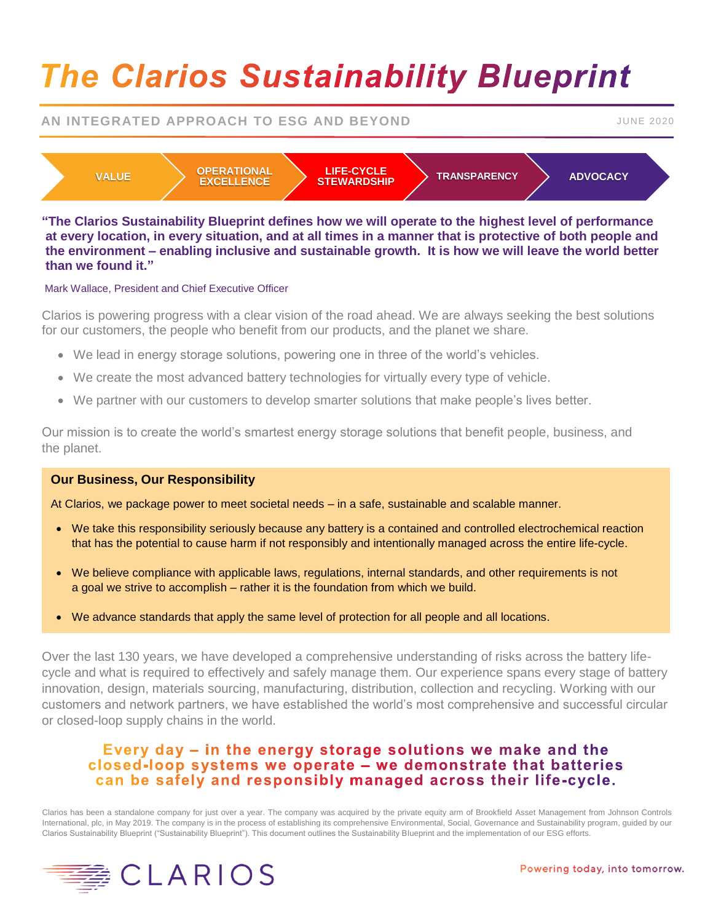# **The Clarios Sustainability Blueprint**

# **AN INTEGRATED APPROACH TO ESG AND BEYOND FOR A STATE AND SUME 2020**



**"The Clarios Sustainability Blueprint defines how we will operate to the highest level of performance at every location, in every situation, and at all times in a manner that is protective of both people and the environment – enabling inclusive and sustainable growth. It is how we will leave the world better than we found it."** 

### Mark Wallace, President and Chief Executive Officer

Clarios is powering progress with a clear vision of the road ahead. We are always seeking the best solutions for our customers, the people who benefit from our products, and the planet we share.

- We lead in energy storage solutions, powering one in three of the world's vehicles.
- We create the most advanced battery technologies for virtually every type of vehicle.
- We partner with our customers to develop smarter solutions that make people's lives better.

Our mission is to create the world's smartest energy storage solutions that benefit people, business, and the planet.

## **Our Business, Our Responsibility**

At Clarios, we package power to meet societal needs – in a safe, sustainable and scalable manner.

- We take this responsibility seriously because any battery is a contained and controlled electrochemical reaction that has the potential to cause harm if not responsibly and intentionally managed across the entire life-cycle.
- We believe compliance with applicable laws, regulations, internal standards, and other requirements is not a goal we strive to accomplish – rather it is the foundation from which we build.
- We advance standards that apply the same level of protection for all people and all locations.

Over the last 130 years, we have developed a comprehensive understanding of risks across the battery lifecycle and what is required to effectively and safely manage them. Our experience spans every stage of battery innovation, design, materials sourcing, manufacturing, distribution, collection and recycling. Working with our customers and network partners, we have established the world's most comprehensive and successful circular or closed-loop supply chains in the world.

# Every day – in the energy storage solutions we make and the closed-loop systems we operate – we demonstrate that batteries can be safely and responsibly managed across their life-cycle.

Clarios has been a standalone company for just over a year. The company was acquired by the private equity arm of Brookfield Asset Management from Johnson Controls International, plc, in May 2019. The company is in the process of establishing its comprehensive Environmental, Social, Governance and Sustainability program, guided by our Clarios Sustainability Blueprint ("Sustainability Blueprint"). This document outlines the Sustainability Blueprint and the implementation of our ESG efforts.

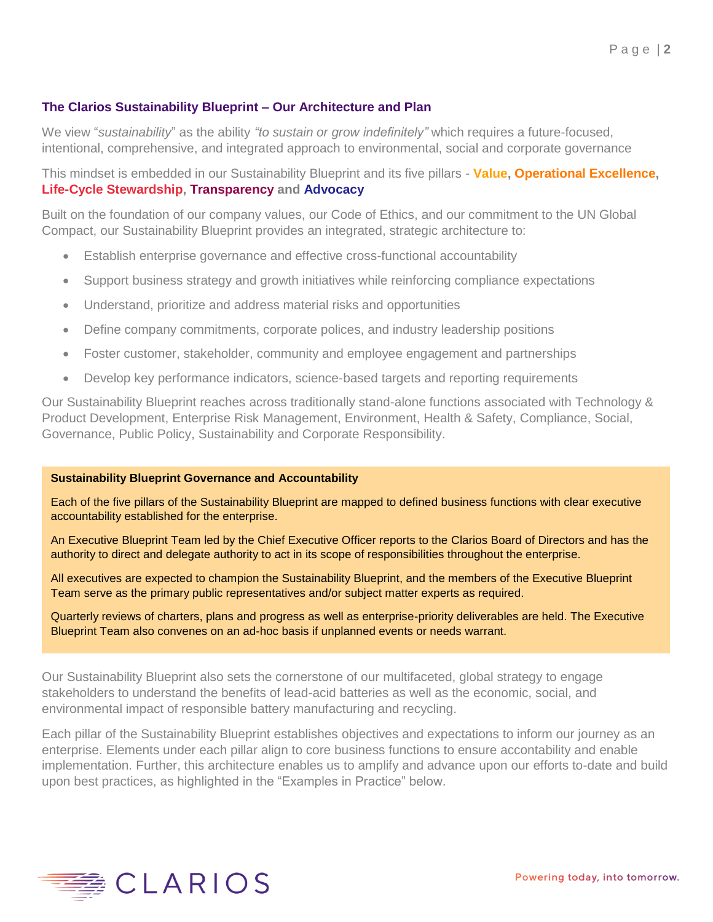# **The Clarios Sustainability Blueprint – Our Architecture and Plan**

We view "*sustainability*" as the ability *"to sustain or grow indefinitely"* which requires a future-focused, intentional, comprehensive, and integrated approach to environmental, social and corporate governance

This mindset is embedded in our Sustainability Blueprint and its five pillars - **Value, Operational Excellence, Life-Cycle Stewardship, Transparency and Advocacy**

Built on the foundation of our company values, our Code of Ethics, and our commitment to the UN Global Compact, our Sustainability Blueprint provides an integrated, strategic architecture to:

- Establish enterprise governance and effective cross-functional accountability
- Support business strategy and growth initiatives while reinforcing compliance expectations
- Understand, prioritize and address material risks and opportunities
- Define company commitments, corporate polices, and industry leadership positions
- Foster customer, stakeholder, community and employee engagement and partnerships
- Develop key performance indicators, science-based targets and reporting requirements

Our Sustainability Blueprint reaches across traditionally stand-alone functions associated with Technology & Product Development, Enterprise Risk Management, Environment, Health & Safety, Compliance, Social, Governance, Public Policy, Sustainability and Corporate Responsibility.

#### **Sustainability Blueprint Governance and Accountability**

Each of the five pillars of the Sustainability Blueprint are mapped to defined business functions with clear executive accountability established for the enterprise.

An Executive Blueprint Team led by the Chief Executive Officer reports to the Clarios Board of Directors and has the authority to direct and delegate authority to act in its scope of responsibilities throughout the enterprise.

All executives are expected to champion the Sustainability Blueprint, and the members of the Executive Blueprint Team serve as the primary public representatives and/or subject matter experts as required.

Quarterly reviews of charters, plans and progress as well as enterprise-priority deliverables are held. The Executive Blueprint Team also convenes on an ad-hoc basis if unplanned events or needs warrant.

Our Sustainability Blueprint also sets the cornerstone of our multifaceted, global strategy to engage stakeholders to understand the benefits of lead-acid batteries as well as the economic, social, and environmental impact of responsible battery manufacturing and recycling.

Each pillar of the Sustainability Blueprint establishes objectives and expectations to inform our journey as an enterprise. Elements under each pillar align to core business functions to ensure accontability and enable implementation. Further, this architecture enables us to amplify and advance upon our efforts to-date and build upon best practices, as highlighted in the "Examples in Practice" below.

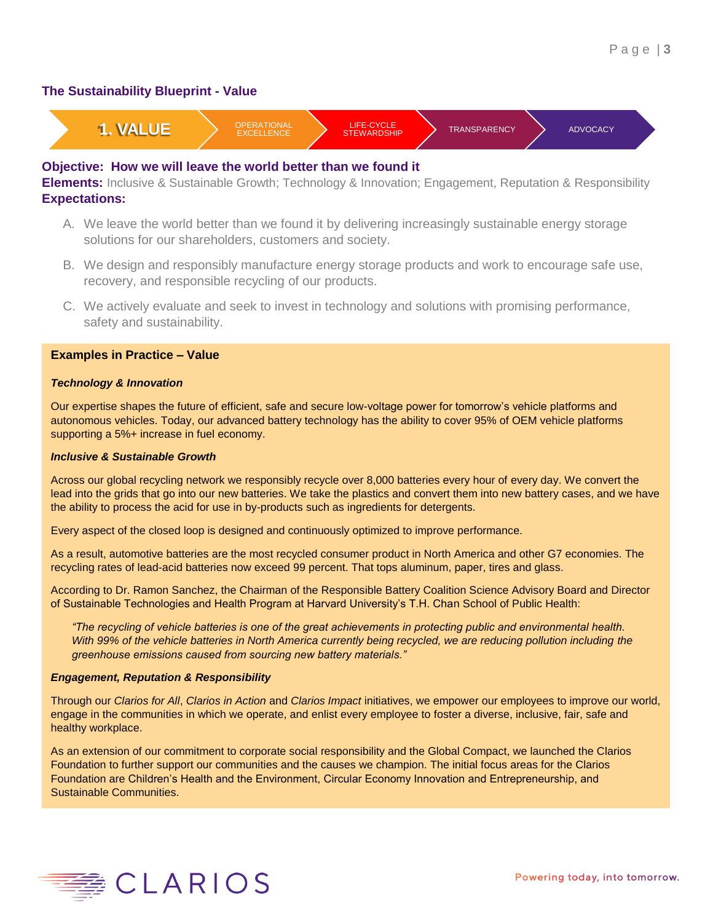## **The Sustainability Blueprint - Value**



### **Objective: How we will leave the world better than we found it**

**Elements:** Inclusive & Sustainable Growth; Technology & Innovation; Engagement, Reputation & Responsibility **Expectations:**

- A. We leave the world better than we found it by delivering increasingly sustainable energy storage solutions for our shareholders, customers and society.
- B. We design and responsibly manufacture energy storage products and work to encourage safe use, recovery, and responsible recycling of our products.
- C. We actively evaluate and seek to invest in technology and solutions with promising performance, safety and sustainability.

#### **Examples in Practice – Value**

#### *Technology & Innovation*

Our expertise shapes the future of efficient, safe and secure low-voltage power for tomorrow's vehicle platforms and autonomous vehicles. Today, our advanced battery technology has the ability to cover 95% of OEM vehicle platforms supporting a 5%+ increase in fuel economy.

#### *Inclusive & Sustainable Growth*

Across our global recycling network we responsibly recycle over 8,000 batteries every hour of every day. We convert the lead into the grids that go into our new batteries. We take the plastics and convert them into new battery cases, and we have the ability to process the acid for use in by-products such as ingredients for detergents.

Every aspect of the closed loop is designed and continuously optimized to improve performance.

As a result, automotive batteries are the most recycled consumer product in North America and other G7 economies. The recycling rates of lead-acid batteries now exceed 99 percent. That tops aluminum, paper, tires and glass.

According to Dr. Ramon Sanchez, the Chairman of the Responsible Battery Coalition Science Advisory Board and Director of Sustainable Technologies and Health Program at Harvard University's T.H. Chan School of Public Health:

*"The recycling of vehicle batteries is one of the great achievements in protecting public and environmental health. With 99% of the vehicle batteries in North America currently being recycled, we are reducing pollution including the greenhouse emissions caused from sourcing new battery materials."*

#### *Engagement, Reputation & Responsibility*

Through our *Clarios for All*, *Clarios in Action* and *Clarios Impact* initiatives, we empower our employees to improve our world, engage in the communities in which we operate, and enlist every employee to foster a diverse, inclusive, fair, safe and healthy workplace.

As an extension of our commitment to corporate social responsibility and the Global Compact, we launched the Clarios Foundation to further support our communities and the causes we champion. The initial focus areas for the Clarios Foundation are Children's Health and the Environment, Circular Economy Innovation and Entrepreneurship, and Sustainable Communities.

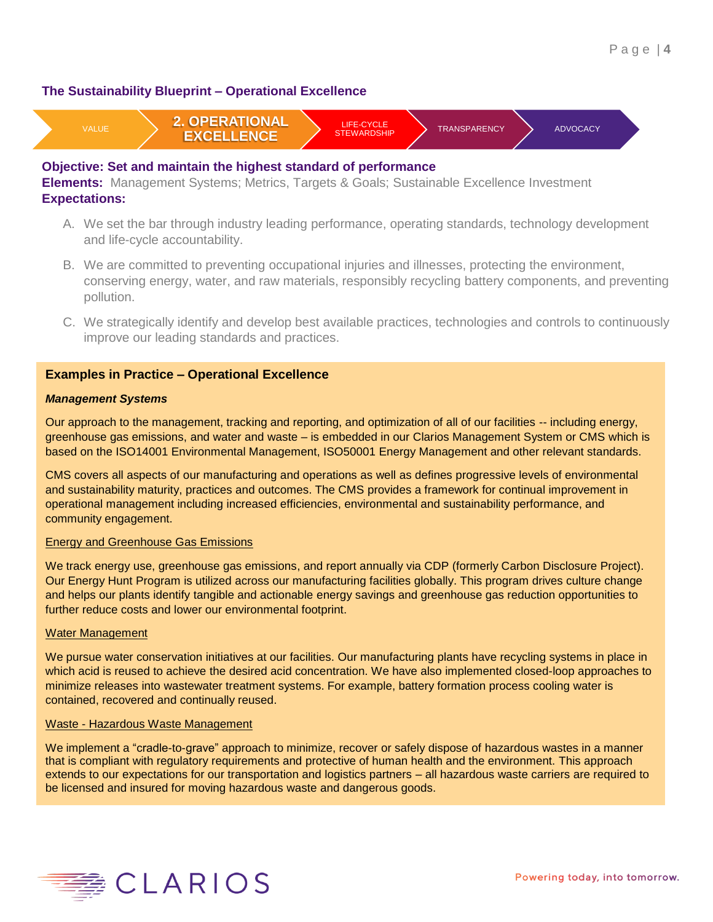## **The Sustainability Blueprint – Operational Excellence**



## **Objective: Set and maintain the highest standard of performance**

**Elements:** Management Systems; Metrics, Targets & Goals; Sustainable Excellence Investment **Expectations:**

- A. We set the bar through industry leading performance, operating standards, technology development and life-cycle accountability.
- B. We are committed to preventing occupational injuries and illnesses, protecting the environment, conserving energy, water, and raw materials, responsibly recycling battery components, and preventing pollution.
- C. We strategically identify and develop best available practices, technologies and controls to continuously improve our leading standards and practices.

## **Examples in Practice – Operational Excellence**

#### *Management Systems*

Our approach to the management, tracking and reporting, and optimization of all of our facilities -- including energy, greenhouse gas emissions, and water and waste – is embedded in our Clarios Management System or CMS which is based on the ISO14001 Environmental Management, ISO50001 Energy Management and other relevant standards.

CMS covers all aspects of our manufacturing and operations as well as defines progressive levels of environmental and sustainability maturity, practices and outcomes. The CMS provides a framework for continual improvement in operational management including increased efficiencies, environmental and sustainability performance, and community engagement.

#### Energy and Greenhouse Gas Emissions

We track energy use, greenhouse gas emissions, and report annually via CDP (formerly Carbon Disclosure Project). Our Energy Hunt Program is utilized across our manufacturing facilities globally. This program drives culture change and helps our plants identify tangible and actionable energy savings and greenhouse gas reduction opportunities to further reduce costs and lower our environmental footprint.

#### Water Management

We pursue water conservation initiatives at our facilities. Our manufacturing plants have recycling systems in place in which acid is reused to achieve the desired acid concentration. We have also implemented closed-loop approaches to minimize releases into wastewater treatment systems. For example, battery formation process cooling water is contained, recovered and continually reused.

#### Waste - Hazardous Waste Management

We implement a "cradle-to-grave" approach to minimize, recover or safely dispose of hazardous wastes in a manner that is compliant with regulatory requirements and protective of human health and the environment. This approach extends to our expectations for our transportation and logistics partners – all hazardous waste carriers are required to be licensed and insured for moving hazardous waste and dangerous goods.

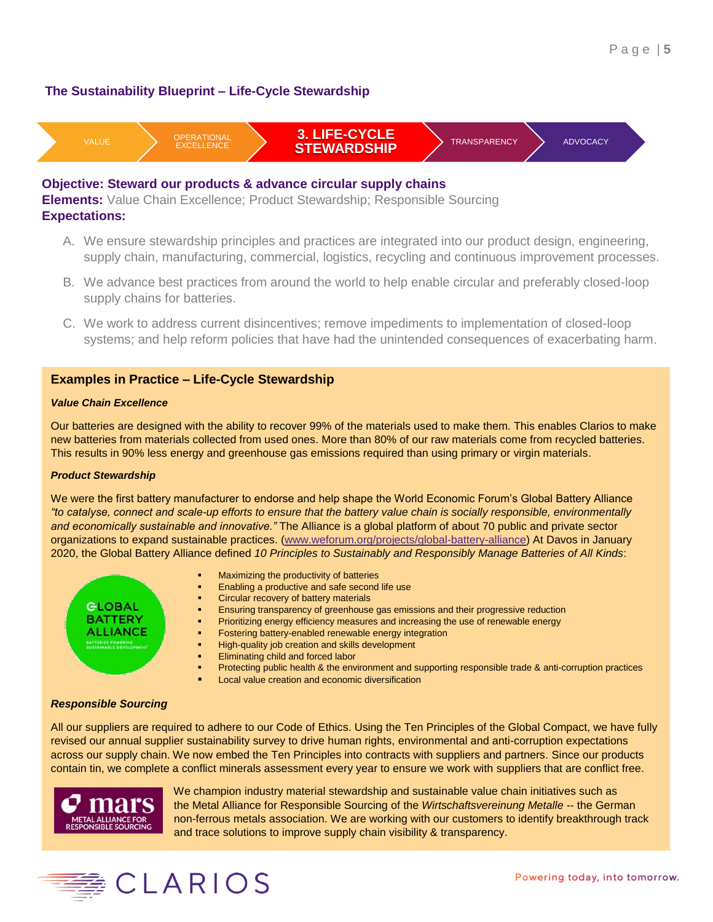# **The Sustainability Blueprint – Life-Cycle Stewardship**



#### **Objective: Steward our products & advance circular supply chains**

**Elements:** Value Chain Excellence; Product Stewardship; Responsible Sourcing **Expectations:**

- A. We ensure stewardship principles and practices are integrated into our product design, engineering, supply chain, manufacturing, commercial, logistics, recycling and continuous improvement processes.
- B. We advance best practices from around the world to help enable circular and preferably closed-loop supply chains for batteries.
- C. We work to address current disincentives; remove impediments to implementation of closed-loop systems; and help reform policies that have had the unintended consequences of exacerbating harm.

### **Examples in Practice – Life-Cycle Stewardship**

#### *Value Chain Excellence*

Our batteries are designed with the ability to recover 99% of the materials used to make them. This enables Clarios to make new batteries from materials collected from used ones. More than 80% of our raw materials come from recycled batteries. This results in 90% less energy and greenhouse gas emissions required than using primary or virgin materials.

#### *Product Stewardship*

We were the first battery manufacturer to endorse and help shape the World Economic Forum's Global Battery Alliance *"to catalyse, connect and scale-up efforts to ensure that the battery value chain is socially responsible, environmentally and economically sustainable and innovative."* The Alliance is a global platform of about 70 public and private sector organizations to expand sustainable practices. [\(www.weforum.org/projects/global-battery-alliance\)](http://www.weforum.org/projects/global-battery-alliance) At Davos in January 2020, the Global Battery Alliance defined *10 Principles to Sustainably and Responsibly Manage Batteries of All Kinds*:

- **GLOBAL BATTERY ALLIANCE** TERIES POWERING<br>TAINABLE DEVELOPMENT
- Maximizing the productivity of batteries
- Enabling a productive and safe second life use
- Circular recovery of battery materials
- Ensuring transparency of greenhouse gas emissions and their progressive reduction
- Prioritizing energy efficiency measures and increasing the use of renewable energy
- Fostering battery-enabled renewable energy integration
- High-quality job creation and skills development
- Eliminating child and forced labor
- Protecting public health & the environment and supporting responsible trade & anti-corruption practices
- Local value creation and economic diversification

## *Responsible Sourcing*

All our suppliers are required to adhere to our Code of Ethics. Using the Ten Principles of the Global Compact, we have fully revised our annual supplier sustainability survey to drive human rights, environmental and anti-corruption expectations across our supply chain. We now embed the Ten Principles into contracts with suppliers and partners. Since our products contain tin, we complete a conflict minerals assessment every year to ensure we work with suppliers that are conflict free.



 We champion industry material stewardship and sustainable value chain initiatives such as the Metal Alliance for Responsible Sourcing of the *Wirtschaftsvereinung Metalle* -- the German non-ferrous metals association. We are working with our customers to identify breakthrough track and trace solutions to improve supply chain visibility & transparency.

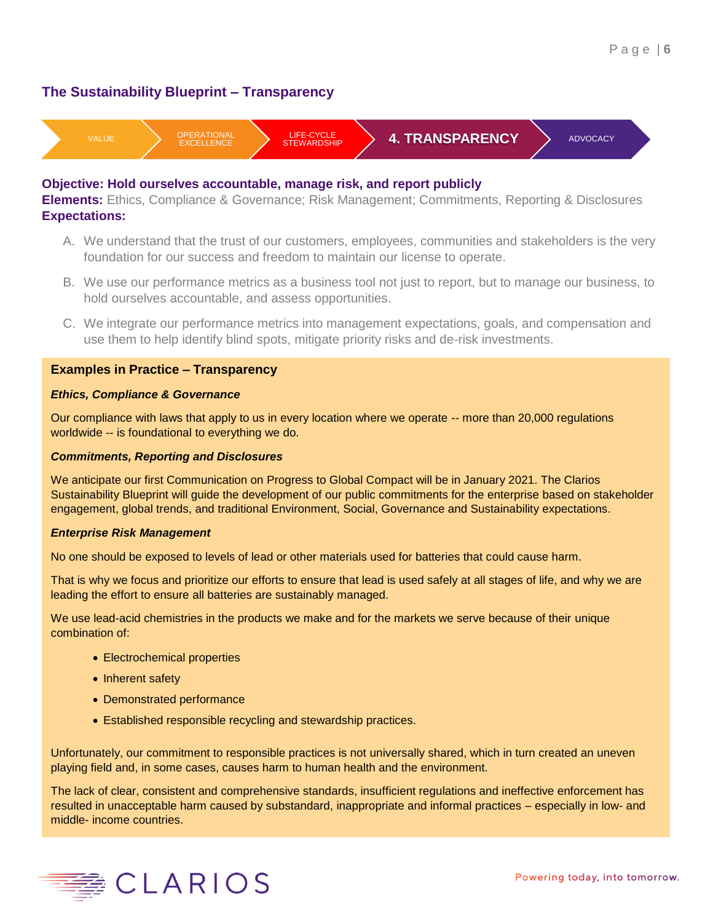# **The Sustainability Blueprint – Transparency**



## **Objective: Hold ourselves accountable, manage risk, and report publicly**

**Elements:** Ethics, Compliance & Governance; Risk Management; Commitments, Reporting & Disclosures **Expectations:**

- A. We understand that the trust of our customers, employees, communities and stakeholders is the very foundation for our success and freedom to maintain our license to operate.
- B. We use our performance metrics as a business tool not just to report, but to manage our business, to hold ourselves accountable, and assess opportunities.
- C. We integrate our performance metrics into management expectations, goals, and compensation and use them to help identify blind spots, mitigate priority risks and de-risk investments.

## **Examples in Practice – Transparency**

### *Ethics, Compliance & Governance*

Our compliance with laws that apply to us in every location where we operate -- more than 20,000 regulations worldwide -- is foundational to everything we do.

### *Commitments, Reporting and Disclosures*

We anticipate our first Communication on Progress to Global Compact will be in January 2021. The Clarios Sustainability Blueprint will guide the development of our public commitments for the enterprise based on stakeholder engagement, global trends, and traditional Environment, Social, Governance and Sustainability expectations.

#### *Enterprise Risk Management*

No one should be exposed to levels of lead or other materials used for batteries that could cause harm.

That is why we focus and prioritize our efforts to ensure that lead is used safely at all stages of life, and why we are leading the effort to ensure all batteries are sustainably managed.

We use lead-acid chemistries in the products we make and for the markets we serve because of their unique combination of:

- Electrochemical properties
- Inherent safety
- Demonstrated performance
- Established responsible recycling and stewardship practices.

Unfortunately, our commitment to responsible practices is not universally shared, which in turn created an uneven playing field and, in some cases, causes harm to human health and the environment.

The lack of clear, consistent and comprehensive standards, insufficient regulations and ineffective enforcement has resulted in unacceptable harm caused by substandard, inappropriate and informal practices – especially in low- and middle- income countries.

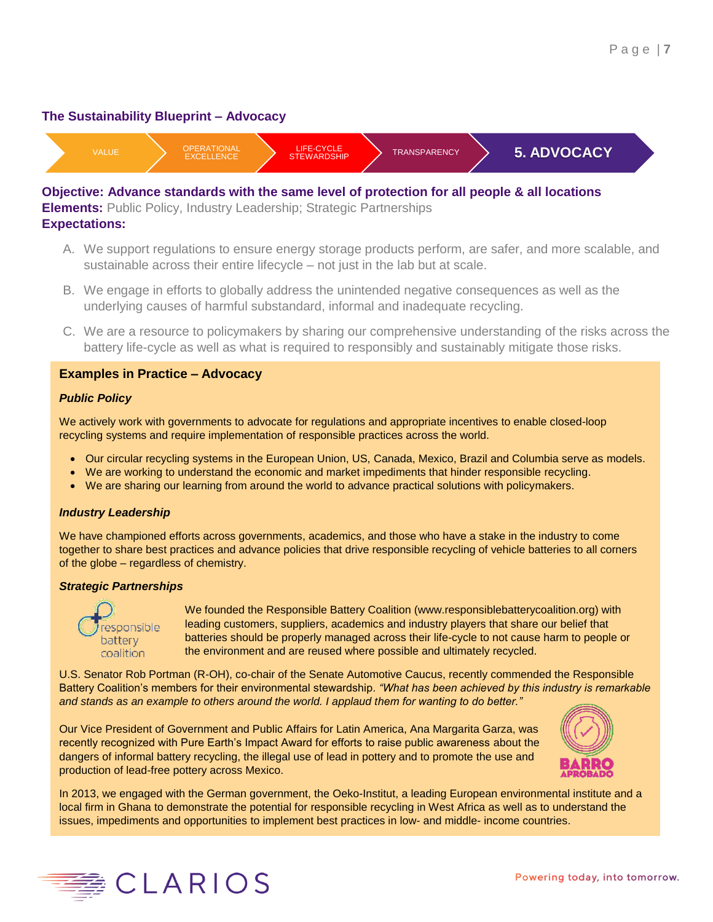## **The Sustainability Blueprint – Advocacy**



**Objective: Advance standards with the same level of protection for all people & all locations Elements:** Public Policy, Industry Leadership; Strategic Partnerships **Expectations:**

- A. We support regulations to ensure energy storage products perform, are safer, and more scalable, and sustainable across their entire lifecycle – not just in the lab but at scale.
- B. We engage in efforts to globally address the unintended negative consequences as well as the underlying causes of harmful substandard, informal and inadequate recycling.
- C. We are a resource to policymakers by sharing our comprehensive understanding of the risks across the battery life-cycle as well as what is required to responsibly and sustainably mitigate those risks.

## **Examples in Practice – Advocacy**

#### *Public Policy*

We actively work with governments to advocate for regulations and appropriate incentives to enable closed-loop recycling systems and require implementation of responsible practices across the world.

- Our circular recycling systems in the European Union, US, Canada, Mexico, Brazil and Columbia serve as models.
- We are working to understand the economic and market impediments that hinder responsible recycling.
- We are sharing our learning from around the world to advance practical solutions with policymakers.

#### *Industry Leadership*

We have championed efforts across governments, academics, and those who have a stake in the industry to come together to share best practices and advance policies that drive responsible recycling of vehicle batteries to all corners of the globe – regardless of chemistry.

#### *Strategic Partnerships*



We founded the Responsible Battery Coalition (www.responsiblebatterycoalition.org) with leading customers, suppliers, academics and industry players that share our belief that batteries should be properly managed across their life-cycle to not cause harm to people or the environment and are reused where possible and ultimately recycled.

U.S. Senator Rob Portman (R-OH), co-chair of the Senate Automotive Caucus, recently commended the Responsible Battery Coalition's members for their environmental stewardship. *"What has been achieved by this industry is remarkable and stands as an example to others around the world. I applaud them for wanting to do better."*

Our Vice President of Government and Public Affairs for Latin America, Ana Margarita Garza, was recently recognized with Pure Earth's Impact Award for efforts to raise public awareness about the dangers of informal battery recycling, the illegal use of lead in pottery and to promote the use and production of lead-free pottery across Mexico.



In 2013, we engaged with the German government, the Oeko-Institut, a leading European environmental institute and a local firm in Ghana to demonstrate the potential for responsible recycling in West Africa as well as to understand the issues, impediments and opportunities to implement best practices in low- and middle- income countries.

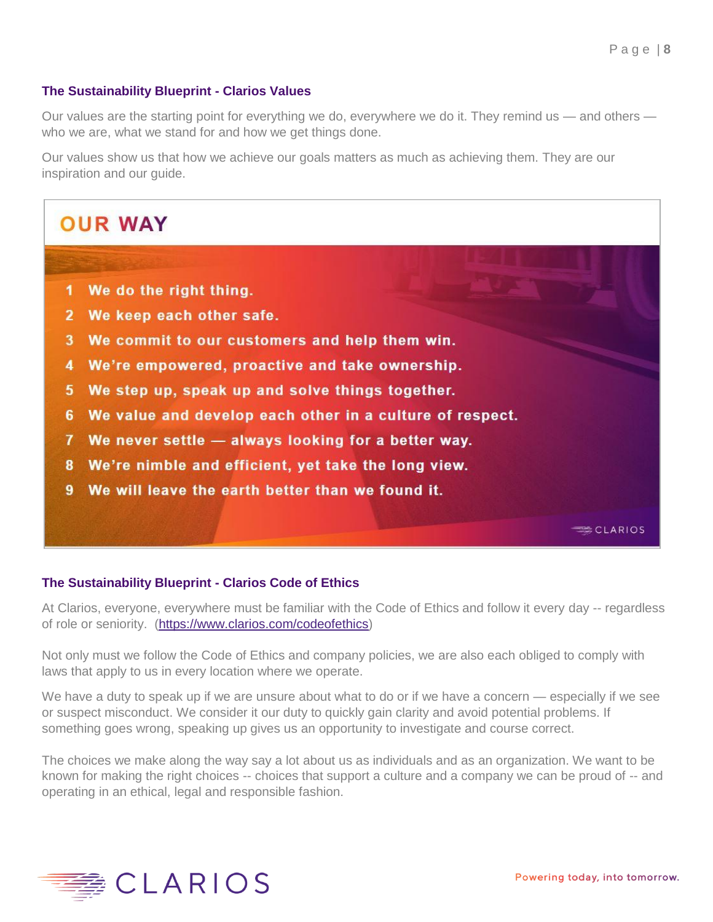# **The Sustainability Blueprint - Clarios Values**

Our values are the starting point for everything we do, everywhere we do it. They remind us — and others who we are, what we stand for and how we get things done.

Our values show us that how we achieve our goals matters as much as achieving them. They are our inspiration and our guide.



## **The Sustainability Blueprint - Clarios Code of Ethics**

At Clarios, everyone, everywhere must be familiar with the Code of Ethics and follow it every day -- regardless of role or seniority. [\(https://www.clarios.com/codeofethics\)](https://www.clarios.com/codeofethics)

Not only must we follow the Code of Ethics and company policies, we are also each obliged to comply with laws that apply to us in every location where we operate.

We have a duty to speak up if we are unsure about what to do or if we have a concern — especially if we see or suspect misconduct. We consider it our duty to quickly gain clarity and avoid potential problems. If something goes wrong, speaking up gives us an opportunity to investigate and course correct.

The choices we make along the way say a lot about us as individuals and as an organization. We want to be known for making the right choices -- choices that support a culture and a company we can be proud of -- and operating in an ethical, legal and responsible fashion.